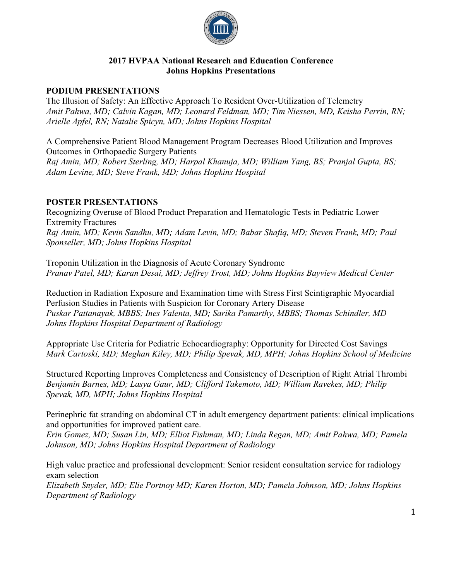

### **2017 HVPAA National Research and Education Conference Johns Hopkins Presentations**

## **PODIUM PRESENTATIONS**

The Illusion of Safety: An Effective Approach To Resident Over-Utilization of Telemetry *Amit Pahwa, MD; Calvin Kagan, MD; Leonard Feldman, MD; Tim Niessen, MD, Keisha Perrin, RN; Arielle Apfel, RN; Natalie Spicyn, MD; Johns Hopkins Hospital* 

A Comprehensive Patient Blood Management Program Decreases Blood Utilization and Improves Outcomes in Orthopaedic Surgery Patients *Raj Amin, MD; Robert Sterling, MD; Harpal Khanuja, MD; William Yang, BS; Pranjal Gupta, BS; Adam Levine, MD; Steve Frank, MD; Johns Hopkins Hospital*

# **POSTER PRESENTATIONS**

Recognizing Overuse of Blood Product Preparation and Hematologic Tests in Pediatric Lower Extremity Fractures *Raj Amin, MD; Kevin Sandhu, MD; Adam Levin, MD; Babar Shafiq, MD; Steven Frank, MD; Paul Sponseller, MD; Johns Hopkins Hospital*

Troponin Utilization in the Diagnosis of Acute Coronary Syndrome *Pranav Patel, MD; Karan Desai, MD; Jeffrey Trost, MD; Johns Hopkins Bayview Medical Center*

Reduction in Radiation Exposure and Examination time with Stress First Scintigraphic Myocardial Perfusion Studies in Patients with Suspicion for Coronary Artery Disease *Puskar Pattanayak, MBBS; Ines Valenta, MD; Sarika Pamarthy, MBBS; Thomas Schindler, MD Johns Hopkins Hospital Department of Radiology*

Appropriate Use Criteria for Pediatric Echocardiography: Opportunity for Directed Cost Savings *Mark Cartoski, MD; Meghan Kiley, MD; Philip Spevak, MD, MPH; Johns Hopkins School of Medicine*

Structured Reporting Improves Completeness and Consistency of Description of Right Atrial Thrombi *Benjamin Barnes, MD; Lasya Gaur, MD; Clifford Takemoto, MD; William Ravekes, MD; Philip Spevak, MD, MPH; Johns Hopkins Hospital*

Perinephric fat stranding on abdominal CT in adult emergency department patients: clinical implications and opportunities for improved patient care.

*Erin Gomez, MD; Susan Lin, MD; Elliot Fishman, MD; Linda Regan, MD; Amit Pahwa, MD; Pamela Johnson, MD; Johns Hopkins Hospital Department of Radiology*

High value practice and professional development: Senior resident consultation service for radiology exam selection

*Elizabeth Snyder, MD; Elie Portnoy MD; Karen Horton, MD; Pamela Johnson, MD; Johns Hopkins Department of Radiology*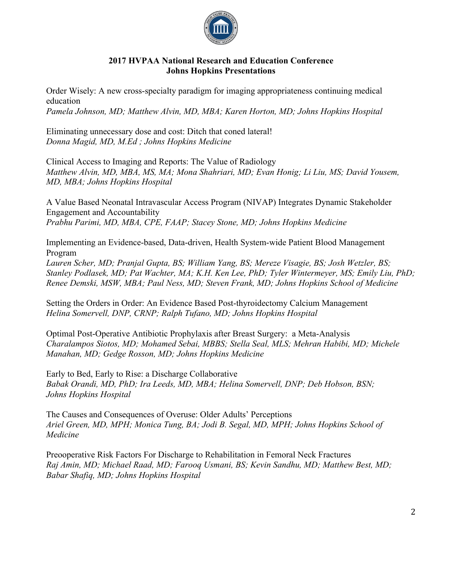

### **2017 HVPAA National Research and Education Conference Johns Hopkins Presentations**

Order Wisely: A new cross-specialty paradigm for imaging appropriateness continuing medical education *Pamela Johnson, MD; Matthew Alvin, MD, MBA; Karen Horton, MD; Johns Hopkins Hospital*

Eliminating unnecessary dose and cost: Ditch that coned lateral! *Donna Magid, MD, M.Ed ; Johns Hopkins Medicine*

Clinical Access to Imaging and Reports: The Value of Radiology *Matthew Alvin, MD, MBA, MS, MA; Mona Shahriari, MD; Evan Honig; Li Liu, MS; David Yousem, MD, MBA; Johns Hopkins Hospital*

A Value Based Neonatal Intravascular Access Program (NIVAP) Integrates Dynamic Stakeholder Engagement and Accountability *Prabhu Parimi, MD, MBA, CPE, FAAP; Stacey Stone, MD; Johns Hopkins Medicine*

Implementing an Evidence-based, Data-driven, Health System-wide Patient Blood Management Program

*Lauren Scher, MD; Pranjal Gupta, BS; William Yang, BS; Mereze Visagie, BS; Josh Wetzler, BS; Stanley Podlasek, MD; Pat Wachter, MA; K.H. Ken Lee, PhD; Tyler Wintermeyer, MS; Emily Liu, PhD; Renee Demski, MSW, MBA; Paul Ness, MD; Steven Frank, MD; Johns Hopkins School of Medicine*

Setting the Orders in Order: An Evidence Based Post-thyroidectomy Calcium Management *Helina Somervell, DNP, CRNP; Ralph Tufano, MD; Johns Hopkins Hospital*

Optimal Post-Operative Antibiotic Prophylaxis after Breast Surgery: a Meta-Analysis *Charalampos Siotos, MD; Mohamed Sebai, MBBS; Stella Seal, MLS; Mehran Habibi, MD; Michele Manahan, MD; Gedge Rosson, MD; Johns Hopkins Medicine*

Early to Bed, Early to Rise: a Discharge Collaborative *Babak Orandi, MD, PhD; Ira Leeds, MD, MBA; Helina Somervell, DNP; Deb Hobson, BSN; Johns Hopkins Hospital*

The Causes and Consequences of Overuse: Older Adults' Perceptions *Ariel Green, MD, MPH; Monica Tung, BA; Jodi B. Segal, MD, MPH; Johns Hopkins School of Medicine*

Preooperative Risk Factors For Discharge to Rehabilitation in Femoral Neck Fractures *Raj Amin, MD; Michael Raad, MD; Farooq Usmani, BS; Kevin Sandhu, MD; Matthew Best, MD; Babar Shafiq, MD; Johns Hopkins Hospital*